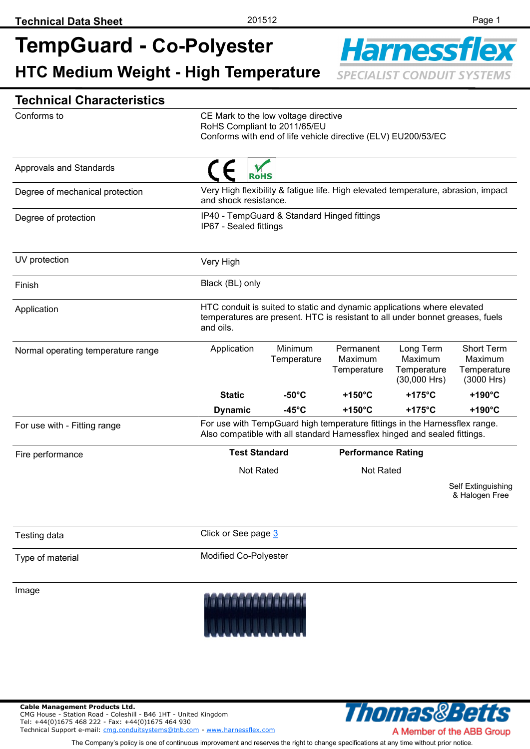# **TempGuard - Co-Polyester HTC Medium Weight - High Temperature**



## **Technical Characteristics**

| Conforms to                        |                                                                                                                                                                       |                        |                                     |                                                       |                                                           |
|------------------------------------|-----------------------------------------------------------------------------------------------------------------------------------------------------------------------|------------------------|-------------------------------------|-------------------------------------------------------|-----------------------------------------------------------|
|                                    | CE Mark to the low voltage directive<br>RoHS Compliant to 2011/65/EU<br>Conforms with end of life vehicle directive (ELV) EU200/53/EC                                 |                        |                                     |                                                       |                                                           |
|                                    |                                                                                                                                                                       |                        |                                     |                                                       |                                                           |
| <b>Approvals and Standards</b>     | <b>RoHS</b>                                                                                                                                                           |                        |                                     |                                                       |                                                           |
| Degree of mechanical protection    | Very High flexibility & fatigue life. High elevated temperature, abrasion, impact<br>and shock resistance.                                                            |                        |                                     |                                                       |                                                           |
| Degree of protection               | IP40 - TempGuard & Standard Hinged fittings<br>IP67 - Sealed fittings                                                                                                 |                        |                                     |                                                       |                                                           |
| UV protection                      | Very High                                                                                                                                                             |                        |                                     |                                                       |                                                           |
| Finish                             | Black (BL) only                                                                                                                                                       |                        |                                     |                                                       |                                                           |
| Application                        | HTC conduit is suited to static and dynamic applications where elevated<br>temperatures are present. HTC is resistant to all under bonnet greases, fuels<br>and oils. |                        |                                     |                                                       |                                                           |
| Normal operating temperature range | Application                                                                                                                                                           | Minimum<br>Temperature | Permanent<br>Maximum<br>Temperature | Long Term<br>Maximum<br>Temperature<br>$(30,000$ Hrs) | <b>Short Term</b><br>Maximum<br>Temperature<br>(3000 Hrs) |
|                                    | <b>Static</b>                                                                                                                                                         | $-50^{\circ}$ C        | +150 $^{\circ}$ C                   | $+175^{\circ}$ C                                      | $+190^{\circ}$ C                                          |
|                                    | <b>Dynamic</b>                                                                                                                                                        | -45 $^{\circ}$ C       | $+150^{\circ}$ C                    | $+175^{\circ}$ C                                      | $+190^{\circ}$ C                                          |
| For use with - Fitting range       | For use with TempGuard high temperature fittings in the Harnessflex range.<br>Also compatible with all standard Harnessflex hinged and sealed fittings.               |                        |                                     |                                                       |                                                           |
| Fire performance                   | <b>Test Standard</b>                                                                                                                                                  |                        | <b>Performance Rating</b>           |                                                       |                                                           |
|                                    | <b>Not Rated</b>                                                                                                                                                      |                        | <b>Not Rated</b>                    |                                                       |                                                           |
|                                    |                                                                                                                                                                       |                        |                                     |                                                       | Self Extinguishing<br>& Halogen Free                      |
| Testing data                       | Click or See page 3                                                                                                                                                   |                        |                                     |                                                       |                                                           |
| Type of material                   | Modified Co-Polyester                                                                                                                                                 |                        |                                     |                                                       |                                                           |

Image



**Cable Management Products Ltd.**  CMG House - Station Road - Coleshill - B46 1HT - United Kingdom Tel: +44(0)1675 468 222 - Fax: +44(0)1675 464 930 Technical Support e-mail: [cmg.conduitsystems@tnb.com](mailto:cmg.conduitsystems@tnb.com?subject=Data%20Sheet%20-%20Technical%20Support) - [www.harnessflex.com](http://www.harnessflex.com/)



The Company's policy is one of continuous improvement and reserves the right to change specifications at any time without prior notice.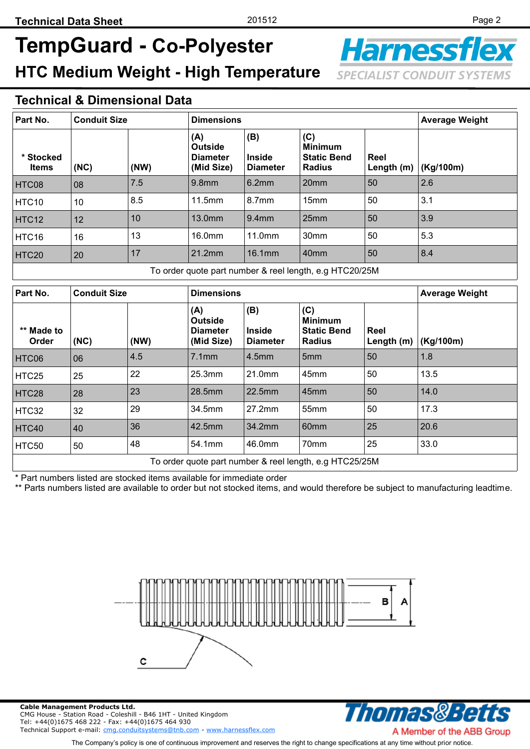# **TempGuard - Co-Polyester HTC Medium Weight - High Temperature**

**Harnessf SPECIALIST CONDUIT SYSTEMS** 

#### **Technical & Dimensional Data**

| Part No.                                                | <b>Conduit Size</b> |      | <b>Dimensions</b>                                      |                                         |                                                              | <b>Average Weight</b> |           |
|---------------------------------------------------------|---------------------|------|--------------------------------------------------------|-----------------------------------------|--------------------------------------------------------------|-----------------------|-----------|
| * Stocked<br><b>Items</b>                               | (NC)                | (NW) | (A)<br><b>Outside</b><br><b>Diameter</b><br>(Mid Size) | (B)<br><b>Inside</b><br><b>Diameter</b> | (C)<br><b>Minimum</b><br><b>Static Bend</b><br><b>Radius</b> | Reel<br>Length (m)    | (Kg/100m) |
| HTC08                                                   | 08                  | 7.5  | 9.8 <sub>mm</sub>                                      | 6.2mm                                   | 20mm                                                         | 50                    | 2.6       |
| HTC10                                                   | 10                  | 8.5  | 11.5mm                                                 | 8.7 <sub>mm</sub>                       | 15 <sub>mm</sub>                                             | 50                    | 3.1       |
| HTC12                                                   | 12                  | 10   | 13.0mm                                                 | 9.4 <sub>mm</sub>                       | 25mm                                                         | 50                    | 3.9       |
| HTC16                                                   | 16                  | 13   | 16.0mm                                                 | 11.0mm                                  | 30mm                                                         | 50                    | 5.3       |
| HTC20                                                   | 20                  | 17   | 21.2mm                                                 | 16.1mm                                  | 40mm                                                         | 50                    | 8.4       |
| To order quote part number & reel length, e.g HTC20/25M |                     |      |                                                        |                                         |                                                              |                       |           |
| Part No.                                                | <b>Conduit Size</b> |      | <b>Dimensions</b>                                      |                                         |                                                              | <b>Average Weight</b> |           |
| ** Made to<br>Order                                     | (NC)                | (NW) | (A)<br><b>Outside</b><br><b>Diameter</b><br>(Mid Size) | (B)<br><b>Inside</b><br><b>Diameter</b> | (C)<br><b>Minimum</b><br><b>Static Bend</b><br><b>Radius</b> | Reel<br>Length (m)    | (Kg/100m) |
| HTC06                                                   | 06                  | 4.5  | 7.1mm                                                  | 4.5 <sub>mm</sub>                       | 5mm                                                          | 50                    | 1.8       |
| HTC25                                                   | 25                  | 22   | 25.3mm                                                 | 21.0mm                                  | 45mm                                                         | 50                    | 13.5      |
| HTC28                                                   | 28                  | 23   | 28.5mm                                                 | 22.5mm                                  | 45mm                                                         | 50                    | 14.0      |
| HTC32                                                   | 32                  | 29   | 34.5mm                                                 | 27.2mm                                  | 55mm                                                         | 50                    | 17.3      |
| HTC40                                                   | 40                  | 36   | 42.5mm                                                 | 34.2mm                                  | 60mm                                                         | 25                    | 20.6      |
| <b>HTC50</b>                                            | 50                  | 48   | 54.1mm                                                 | 46.0mm                                  | 70mm                                                         | 25                    | 33.0      |
| To order quote part number & reel length, e.g HTC25/25M |                     |      |                                                        |                                         |                                                              |                       |           |

Part numbers listed are stocked items available for immediate order

\*\* Parts numbers listed are available to order but not stocked items, and would therefore be subject to manufacturing leadtime.



**Cable Management Products Ltd.**  CMG House - Station Road - Coleshill - B46 1HT - United Kingdom Tel: +44(0)1675 468 222 - Fax: +44(0)1675 464 930 Technical Support e-mail: [cmg.conduitsystems@tnb.com](mailto:cmg.conduitsystems@tnb.com?subject=Data%20Sheet%20-%20Technical%20Support) - [www.harnessflex.com](http://www.harnessflex.com/)



The Company's policy is one of continuous improvement and reserves the right to change specifications at any time without prior notice.